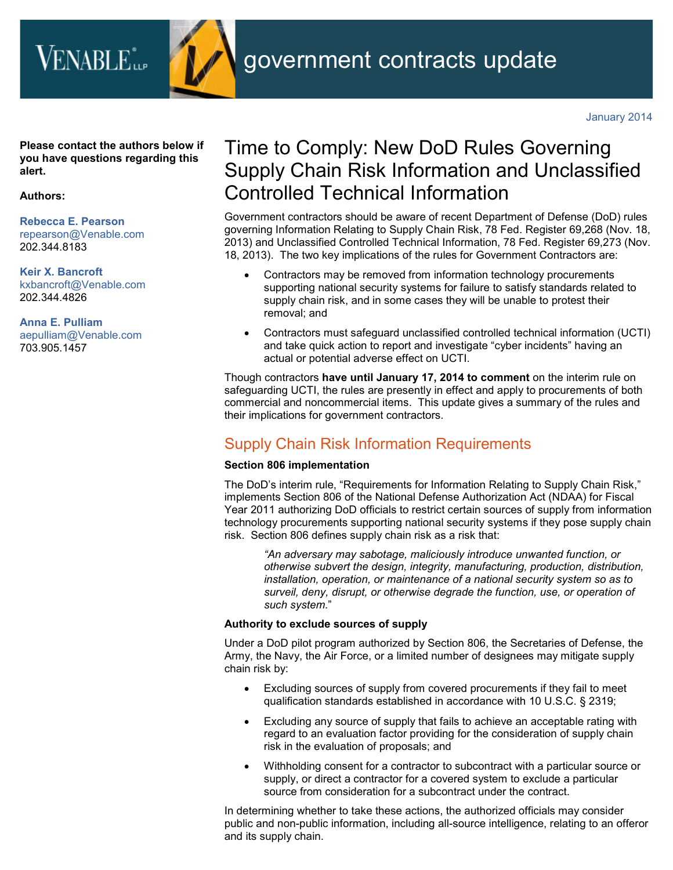

**Please contact the authors below if you have questions regarding this alert.**

### **Authors:**

**[Rebecca E. Pearson](http://www.venable.com/rebecca-e-pearson/)** [repearson@Venable.com](mailto:repearson@Venable.com) 202.344.8183

**[Keir X. Bancroft](http://www.venable.com/keir-x-bancroft/)** [kxbancroft@Venable.com](mailto:kxbancroft@Venable.com) 202.344.4826

**[Anna E. Pulliam](http://www.venable.com/anna-e-pulliam/)** [aepulliam@Venable.com](mailto:aepulliam@Venable.com) 703.905.1457

# Time to Comply: New DoD Rules Governing Supply Chain Risk Information and Unclassified Controlled Technical Information

Government contractors should be aware of recent Department of Defense (DoD) rules governing Information Relating to Supply Chain Risk, 78 Fed. Register 69,268 (Nov. 18, 2013) and Unclassified Controlled Technical Information, 78 Fed. Register 69,273 (Nov. 18, 2013). The two key implications of the rules for Government Contractors are:

- Contractors may be removed from information technology procurements supporting national security systems for failure to satisfy standards related to supply chain risk, and in some cases they will be unable to protest their removal; and
- Contractors must safeguard unclassified controlled technical information (UCTI) and take quick action to report and investigate "cyber incidents" having an actual or potential adverse effect on UCTI.

Though contractors **have until January 17, 2014 to comment** on the interim rule on safeguarding UCTI, the rules are presently in effect and apply to procurements of both commercial and noncommercial items. This update gives a summary of the rules and their implications for government contractors.

# Supply Chain Risk Information Requirements

# **Section 806 implementation**

The DoD's interim rule, "Requirements for Information Relating to Supply Chain Risk," implements Section 806 of the National Defense Authorization Act (NDAA) for Fiscal Year 2011 authorizing DoD officials to restrict certain sources of supply from information technology procurements supporting national security systems if they pose supply chain risk. Section 806 defines supply chain risk as a risk that:

*"An adversary may sabotage, maliciously introduce unwanted function, or otherwise subvert the design, integrity, manufacturing, production, distribution, installation, operation, or maintenance of a national security system so as to surveil, deny, disrupt, or otherwise degrade the function, use, or operation of such system*."

# **Authority to exclude sources of supply**

Under a DoD pilot program authorized by Section 806, the Secretaries of Defense, the Army, the Navy, the Air Force, or a limited number of designees may mitigate supply chain risk by:

- Excluding sources of supply from covered procurements if they fail to meet qualification standards established in accordance with 10 U.S.C. § 2319;
- Excluding any source of supply that fails to achieve an acceptable rating with regard to an evaluation factor providing for the consideration of supply chain risk in the evaluation of proposals; and
- Withholding consent for a contractor to subcontract with a particular source or supply, or direct a contractor for a covered system to exclude a particular source from consideration for a subcontract under the contract.

In determining whether to take these actions, the authorized officials may consider public and non-public information, including all-source intelligence, relating to an offeror and its supply chain.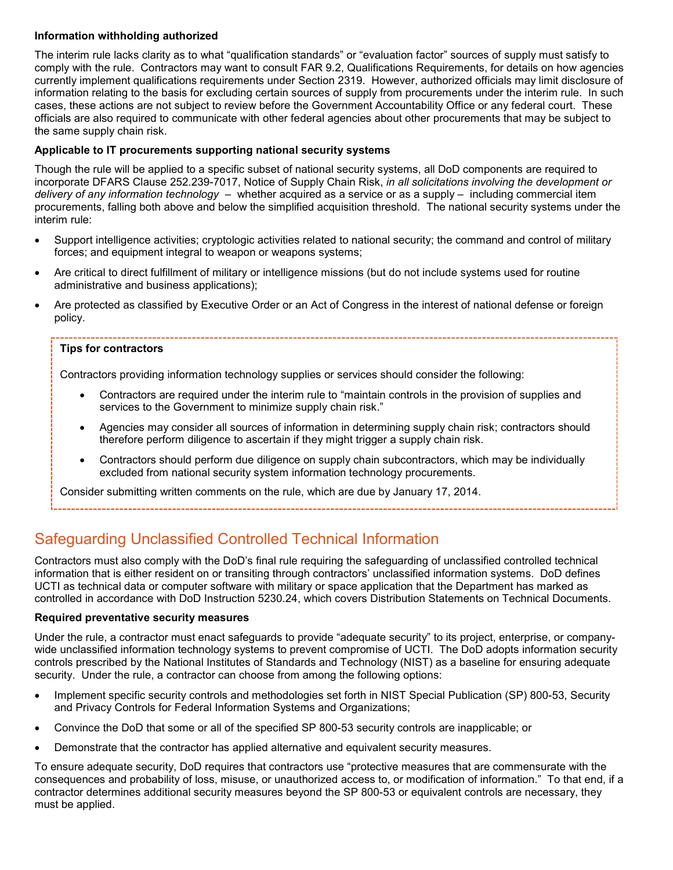# **Information withholding authorized**

The interim rule lacks clarity as to what "qualification standards" or "evaluation factor" sources of supply must satisfy to comply with the rule. Contractors may want to consult FAR 9.2, Qualifications Requirements, for details on how agencies currently implement qualifications requirements under Section 2319. However, authorized officials may limit disclosure of information relating to the basis for excluding certain sources of supply from procurements under the interim rule. In such cases, these actions are not subject to review before the Government Accountability Office or any federal court. These officials are also required to communicate with other federal agencies about other procurements that may be subject to the same supply chain risk.

# **Applicable to IT procurements supporting national security systems**

Though the rule will be applied to a specific subset of national security systems, all DoD components are required to incorporate DFARS Clause 252.239-7017, Notice of Supply Chain Risk, *in all solicitations involving the development or delivery of any information technology* – whether acquired as a service or as a supply – including commercial item procurements, falling both above and below the simplified acquisition threshold. The national security systems under the interim rule:

- Support intelligence activities; cryptologic activities related to national security; the command and control of military forces; and equipment integral to weapon or weapons systems;
- Are critical to direct fulfillment of military or intelligence missions (but do not include systems used for routine administrative and business applications);
- Are protected as classified by Executive Order or an Act of Congress in the interest of national defense or foreign policy.

### **Tips for contractors**

Contractors providing information technology supplies or services should consider the following:

- Contractors are required under the interim rule to "maintain controls in the provision of supplies and services to the Government to minimize supply chain risk."
- Agencies may consider all sources of information in determining supply chain risk; contractors should therefore perform diligence to ascertain if they might trigger a supply chain risk.
- Contractors should perform due diligence on supply chain subcontractors, which may be individually excluded from national security system information technology procurements.

Consider submitting written comments on the rule, which are due by January 17, 2014.

# Safeguarding Unclassified Controlled Technical Information

Contractors must also comply with the DoD's final rule requiring the safeguarding of unclassified controlled technical information that is either resident on or transiting through contractors' unclassified information systems. DoD defines UCTI as technical data or computer software with military or space application that the Department has marked as controlled in accordance with DoD Instruction 5230.24, which covers Distribution Statements on Technical Documents.

# **Required preventative security measures**

Under the rule, a contractor must enact safeguards to provide "adequate security" to its project, enterprise, or companywide unclassified information technology systems to prevent compromise of UCTI. The DoD adopts information security controls prescribed by the National Institutes of Standards and Technology (NIST) as a baseline for ensuring adequate security. Under the rule, a contractor can choose from among the following options:

- Implement specific security controls and methodologies set forth in NIST Special Publication (SP) 800-53, Security and Privacy Controls for Federal Information Systems and Organizations;
- Convince the DoD that some or all of the specified SP 800-53 security controls are inapplicable; or
- Demonstrate that the contractor has applied alternative and equivalent security measures.

To ensure adequate security, DoD requires that contractors use "protective measures that are commensurate with the consequences and probability of loss, misuse, or unauthorized access to, or modification of information." To that end, if a contractor determines additional security measures beyond the SP 800-53 or equivalent controls are necessary, they must be applied.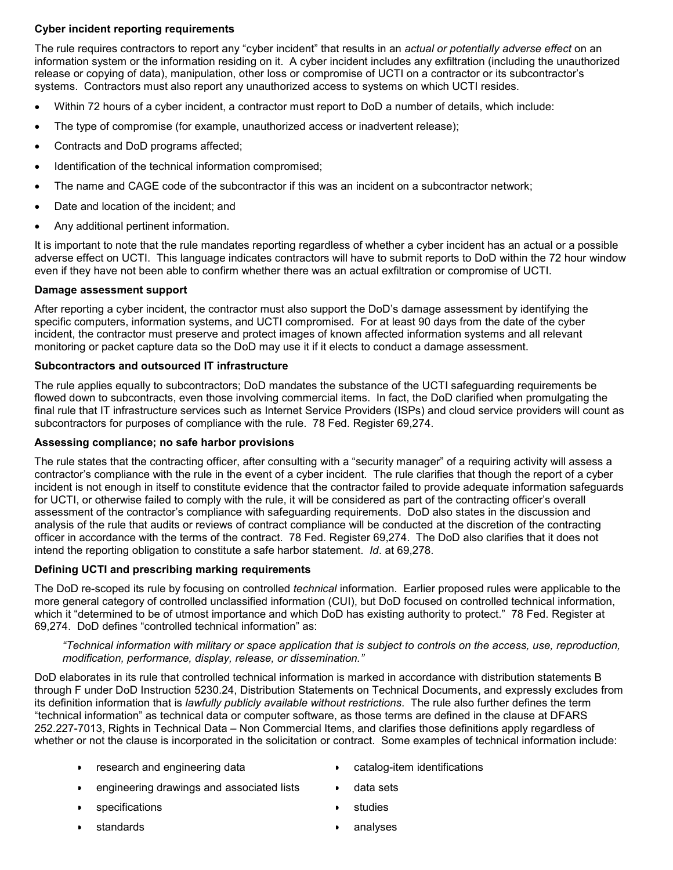# **Cyber incident reporting requirements**

The rule requires contractors to report any "cyber incident" that results in an *actual or potentially adverse effect* on an information system or the information residing on it. A cyber incident includes any exfiltration (including the unauthorized release or copying of data), manipulation, other loss or compromise of UCTI on a contractor or its subcontractor's systems. Contractors must also report any unauthorized access to systems on which UCTI resides.

- Within 72 hours of a cyber incident, a contractor must report to DoD a number of details, which include:
- The type of compromise (for example, unauthorized access or inadvertent release);
- Contracts and DoD programs affected;
- Identification of the technical information compromised;
- The name and CAGE code of the subcontractor if this was an incident on a subcontractor network;
- Date and location of the incident; and
- Any additional pertinent information.

It is important to note that the rule mandates reporting regardless of whether a cyber incident has an actual or a possible adverse effect on UCTI. This language indicates contractors will have to submit reports to DoD within the 72 hour window even if they have not been able to confirm whether there was an actual exfiltration or compromise of UCTI.

#### **Damage assessment support**

After reporting a cyber incident, the contractor must also support the DoD's damage assessment by identifying the specific computers, information systems, and UCTI compromised. For at least 90 days from the date of the cyber incident, the contractor must preserve and protect images of known affected information systems and all relevant monitoring or packet capture data so the DoD may use it if it elects to conduct a damage assessment.

### **Subcontractors and outsourced IT infrastructure**

The rule applies equally to subcontractors; DoD mandates the substance of the UCTI safeguarding requirements be flowed down to subcontracts, even those involving commercial items. In fact, the DoD clarified when promulgating the final rule that IT infrastructure services such as Internet Service Providers (ISPs) and cloud service providers will count as subcontractors for purposes of compliance with the rule. 78 Fed. Register 69,274.

#### **Assessing compliance; no safe harbor provisions**

The rule states that the contracting officer, after consulting with a "security manager" of a requiring activity will assess a contractor's compliance with the rule in the event of a cyber incident. The rule clarifies that though the report of a cyber incident is not enough in itself to constitute evidence that the contractor failed to provide adequate information safeguards for UCTI, or otherwise failed to comply with the rule, it will be considered as part of the contracting officer's overall assessment of the contractor's compliance with safeguarding requirements. DoD also states in the discussion and analysis of the rule that audits or reviews of contract compliance will be conducted at the discretion of the contracting officer in accordance with the terms of the contract. 78 Fed. Register 69,274. The DoD also clarifies that it does not intend the reporting obligation to constitute a safe harbor statement. *Id*. at 69,278.

# **Defining UCTI and prescribing marking requirements**

The DoD re-scoped its rule by focusing on controlled *technical* information. Earlier proposed rules were applicable to the more general category of controlled unclassified information (CUI), but DoD focused on controlled technical information, which it "determined to be of utmost importance and which DoD has existing authority to protect." 78 Fed. Register at 69,274. DoD defines "controlled technical information" as:

#### *"Technical information with military or space application that is subject to controls on the access, use, reproduction, modification, performance, display, release, or dissemination."*

DoD elaborates in its rule that controlled technical information is marked in accordance with distribution statements B through F under DoD Instruction 5230.24, Distribution Statements on Technical Documents, and expressly excludes from its definition information that is *lawfully publicly available without restrictions*. The rule also further defines the term "technical information" as technical data or computer software, as those terms are defined in the clause at DFARS 252.227-7013, Rights in Technical Data – Non Commercial Items, and clarifies those definitions apply regardless of whether or not the clause is incorporated in the solicitation or contract. Some examples of technical information include:

- research and engineering data
- catalog-item identifications
- engineering drawings and associated lists
- **specifications**
- **standards**
- studies
- analyses

• data sets